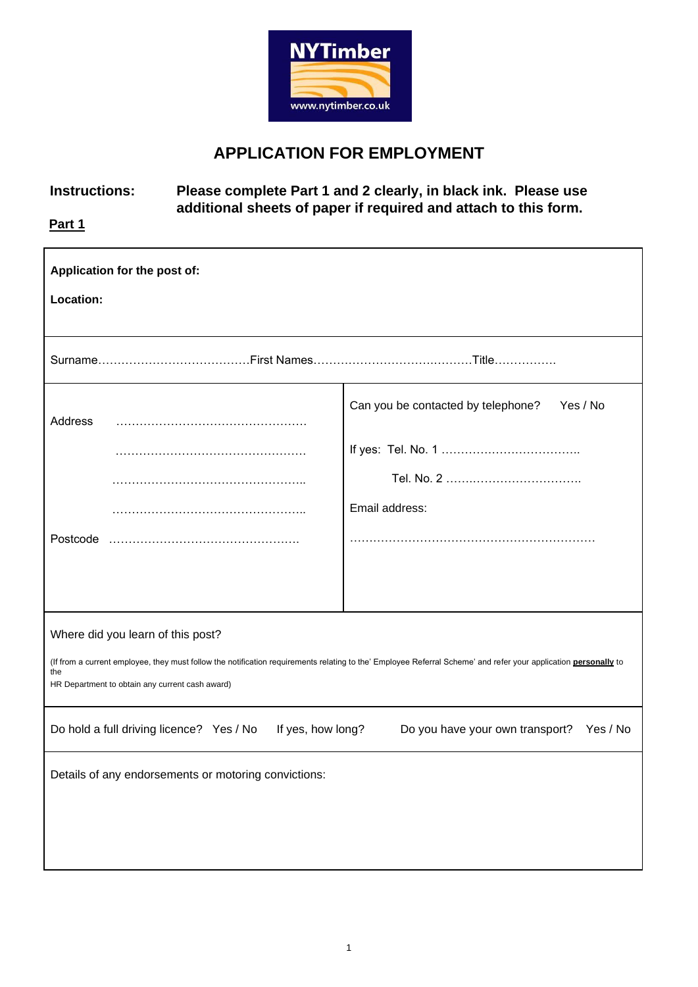

## **APPLICATION FOR EMPLOYMENT**

## **Instructions: Please complete Part 1 and 2 clearly, in black ink. Please use additional sheets of paper if required and attach to this form.**

**Part 1** 

| Application for the post of:<br>Location:                                                                                                                                                                                                                             |                                                |  |  |  |
|-----------------------------------------------------------------------------------------------------------------------------------------------------------------------------------------------------------------------------------------------------------------------|------------------------------------------------|--|--|--|
|                                                                                                                                                                                                                                                                       |                                                |  |  |  |
|                                                                                                                                                                                                                                                                       |                                                |  |  |  |
| Address                                                                                                                                                                                                                                                               | Can you be contacted by telephone?<br>Yes / No |  |  |  |
|                                                                                                                                                                                                                                                                       |                                                |  |  |  |
|                                                                                                                                                                                                                                                                       |                                                |  |  |  |
|                                                                                                                                                                                                                                                                       | Email address:                                 |  |  |  |
| Postcode                                                                                                                                                                                                                                                              |                                                |  |  |  |
|                                                                                                                                                                                                                                                                       |                                                |  |  |  |
| Where did you learn of this post?<br>(If from a current employee, they must follow the notification requirements relating to the' Employee Referral Scheme' and refer your application <i>personally</i> to<br>the<br>HR Department to obtain any current cash award) |                                                |  |  |  |
| If yes, how long?<br>Do hold a full driving licence? Yes / No<br>Do you have your own transport?<br>Yes / No                                                                                                                                                          |                                                |  |  |  |
| Details of any endorsements or motoring convictions:                                                                                                                                                                                                                  |                                                |  |  |  |
|                                                                                                                                                                                                                                                                       |                                                |  |  |  |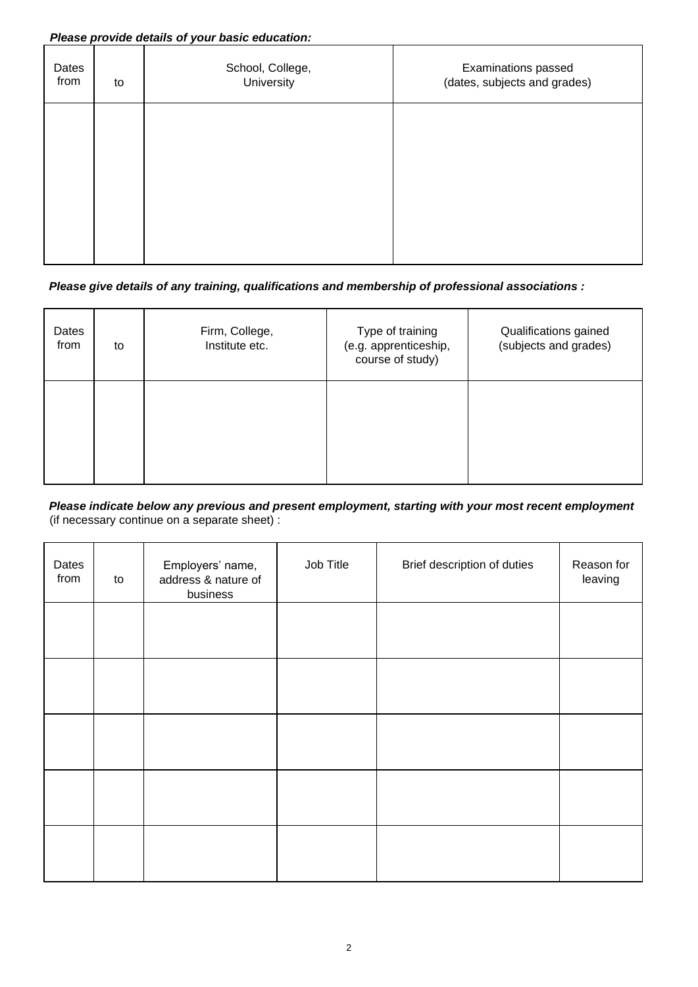#### *Please provide details of your basic education:*

| Dates<br>from | to | School, College,<br>University | Examinations passed<br>(dates, subjects and grades) |
|---------------|----|--------------------------------|-----------------------------------------------------|
|               |    |                                |                                                     |
|               |    |                                |                                                     |
|               |    |                                |                                                     |

#### *Please give details of any training, qualifications and membership of professional associations :*

| Dates<br>from | to | Firm, College,<br>Institute etc. | Type of training<br>(e.g. apprenticeship,<br>course of study) | Qualifications gained<br>(subjects and grades) |
|---------------|----|----------------------------------|---------------------------------------------------------------|------------------------------------------------|
|               |    |                                  |                                                               |                                                |

#### *Please indicate below any previous and present employment, starting with your most recent employment*  (if necessary continue on a separate sheet) :

| Dates<br>from | to | Employers' name,<br>address & nature of<br>business | Job Title | Brief description of duties | Reason for<br>leaving |
|---------------|----|-----------------------------------------------------|-----------|-----------------------------|-----------------------|
|               |    |                                                     |           |                             |                       |
|               |    |                                                     |           |                             |                       |
|               |    |                                                     |           |                             |                       |
|               |    |                                                     |           |                             |                       |
|               |    |                                                     |           |                             |                       |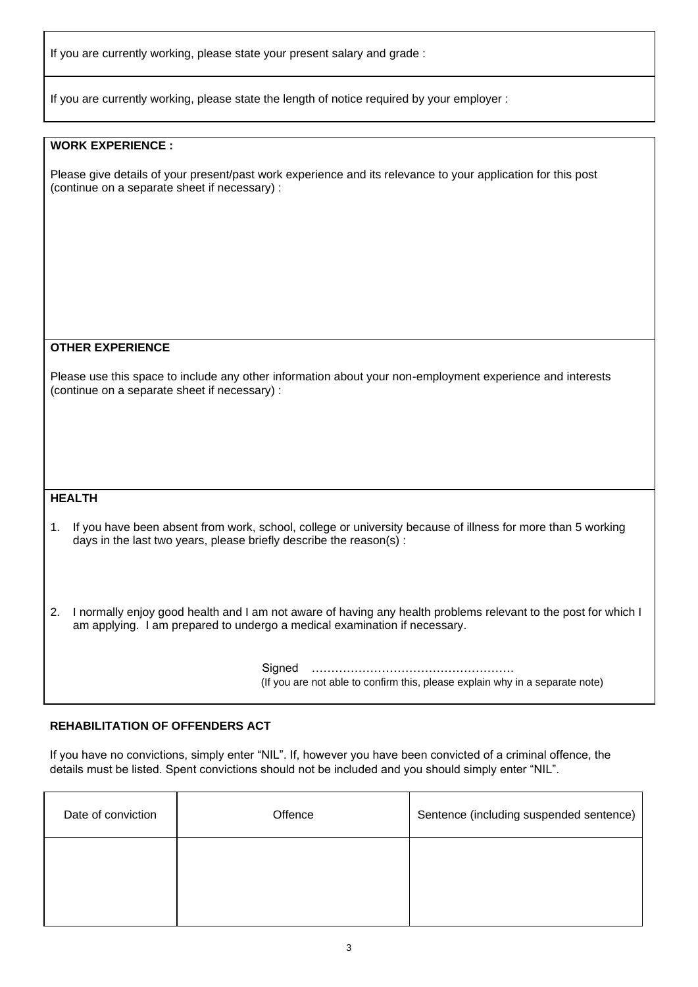If you are currently working, please state your present salary and grade :

If you are currently working, please state the length of notice required by your employer :

#### **WORK EXPERIENCE :**

Please give details of your present/past work experience and its relevance to your application for this post (continue on a separate sheet if necessary) :

#### **OTHER EXPERIENCE**

Please use this space to include any other information about your non-employment experience and interests (continue on a separate sheet if necessary) :

#### **HEALTH**

1. If you have been absent from work, school, college or university because of illness for more than 5 working days in the last two years, please briefly describe the reason(s) :

2. I normally enjoy good health and I am not aware of having any health problems relevant to the post for which I am applying. I am prepared to undergo a medical examination if necessary.

> Signed ……………………………………………. (If you are not able to confirm this, please explain why in a separate note)

#### **REHABILITATION OF OFFENDERS ACT**

If you have no convictions, simply enter "NIL". If, however you have been convicted of a criminal offence, the details must be listed. Spent convictions should not be included and you should simply enter "NIL".

| Date of conviction | Offence | Sentence (including suspended sentence) |
|--------------------|---------|-----------------------------------------|
|                    |         |                                         |
|                    |         |                                         |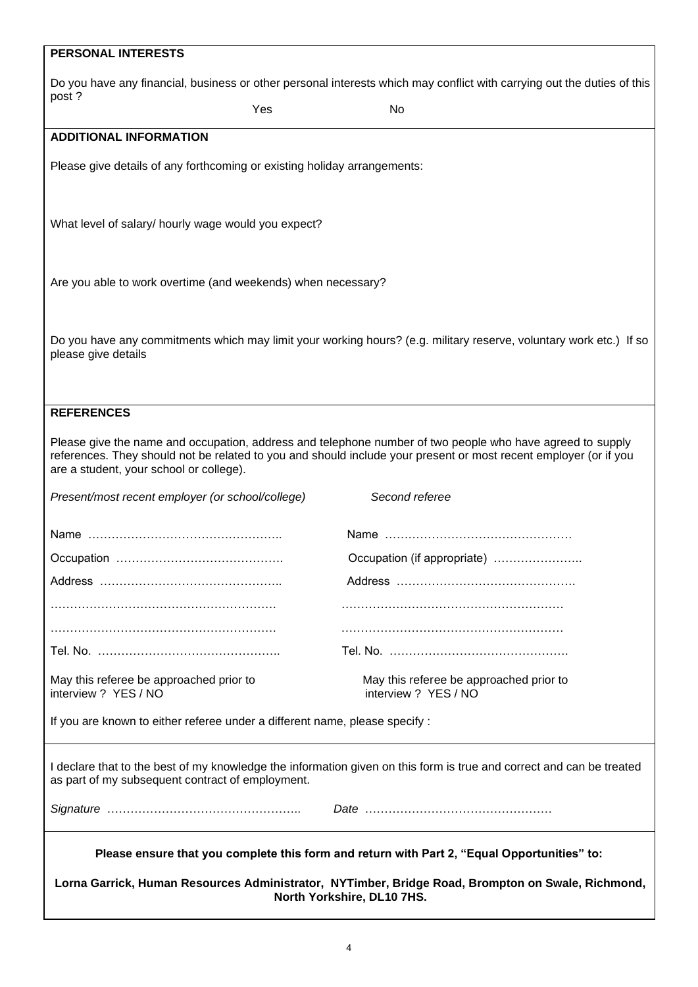| <b>PERSONAL INTERESTS</b>                                                                                                                                                |                                                                                                                                                                                                                               |  |  |
|--------------------------------------------------------------------------------------------------------------------------------------------------------------------------|-------------------------------------------------------------------------------------------------------------------------------------------------------------------------------------------------------------------------------|--|--|
| Do you have any financial, business or other personal interests which may conflict with carrying out the duties of this                                                  |                                                                                                                                                                                                                               |  |  |
| post?<br>Yes                                                                                                                                                             | No                                                                                                                                                                                                                            |  |  |
| <b>ADDITIONAL INFORMATION</b>                                                                                                                                            |                                                                                                                                                                                                                               |  |  |
| Please give details of any forthcoming or existing holiday arrangements:                                                                                                 |                                                                                                                                                                                                                               |  |  |
| What level of salary/ hourly wage would you expect?                                                                                                                      |                                                                                                                                                                                                                               |  |  |
| Are you able to work overtime (and weekends) when necessary?                                                                                                             |                                                                                                                                                                                                                               |  |  |
| Do you have any commitments which may limit your working hours? (e.g. military reserve, voluntary work etc.) If so<br>please give details                                |                                                                                                                                                                                                                               |  |  |
| <b>REFERENCES</b>                                                                                                                                                        |                                                                                                                                                                                                                               |  |  |
| are a student, your school or college).                                                                                                                                  | Please give the name and occupation, address and telephone number of two people who have agreed to supply<br>references. They should not be related to you and should include your present or most recent employer (or if you |  |  |
| Present/most recent employer (or school/college)                                                                                                                         | Second referee                                                                                                                                                                                                                |  |  |
|                                                                                                                                                                          |                                                                                                                                                                                                                               |  |  |
|                                                                                                                                                                          | Occupation (if appropriate)                                                                                                                                                                                                   |  |  |
|                                                                                                                                                                          |                                                                                                                                                                                                                               |  |  |
|                                                                                                                                                                          |                                                                                                                                                                                                                               |  |  |
|                                                                                                                                                                          |                                                                                                                                                                                                                               |  |  |
|                                                                                                                                                                          |                                                                                                                                                                                                                               |  |  |
| May this referee be approached prior to<br>interview ? YES / NO                                                                                                          | May this referee be approached prior to<br>interview ? YES / NO                                                                                                                                                               |  |  |
| If you are known to either referee under a different name, please specify :                                                                                              |                                                                                                                                                                                                                               |  |  |
| I declare that to the best of my knowledge the information given on this form is true and correct and can be treated<br>as part of my subsequent contract of employment. |                                                                                                                                                                                                                               |  |  |
|                                                                                                                                                                          |                                                                                                                                                                                                                               |  |  |
| Please ensure that you complete this form and return with Part 2, "Equal Opportunities" to:                                                                              |                                                                                                                                                                                                                               |  |  |
| Lorna Garrick, Human Resources Administrator, NYTimber, Bridge Road, Brompton on Swale, Richmond,<br>North Yorkshire, DL10 7HS.                                          |                                                                                                                                                                                                                               |  |  |